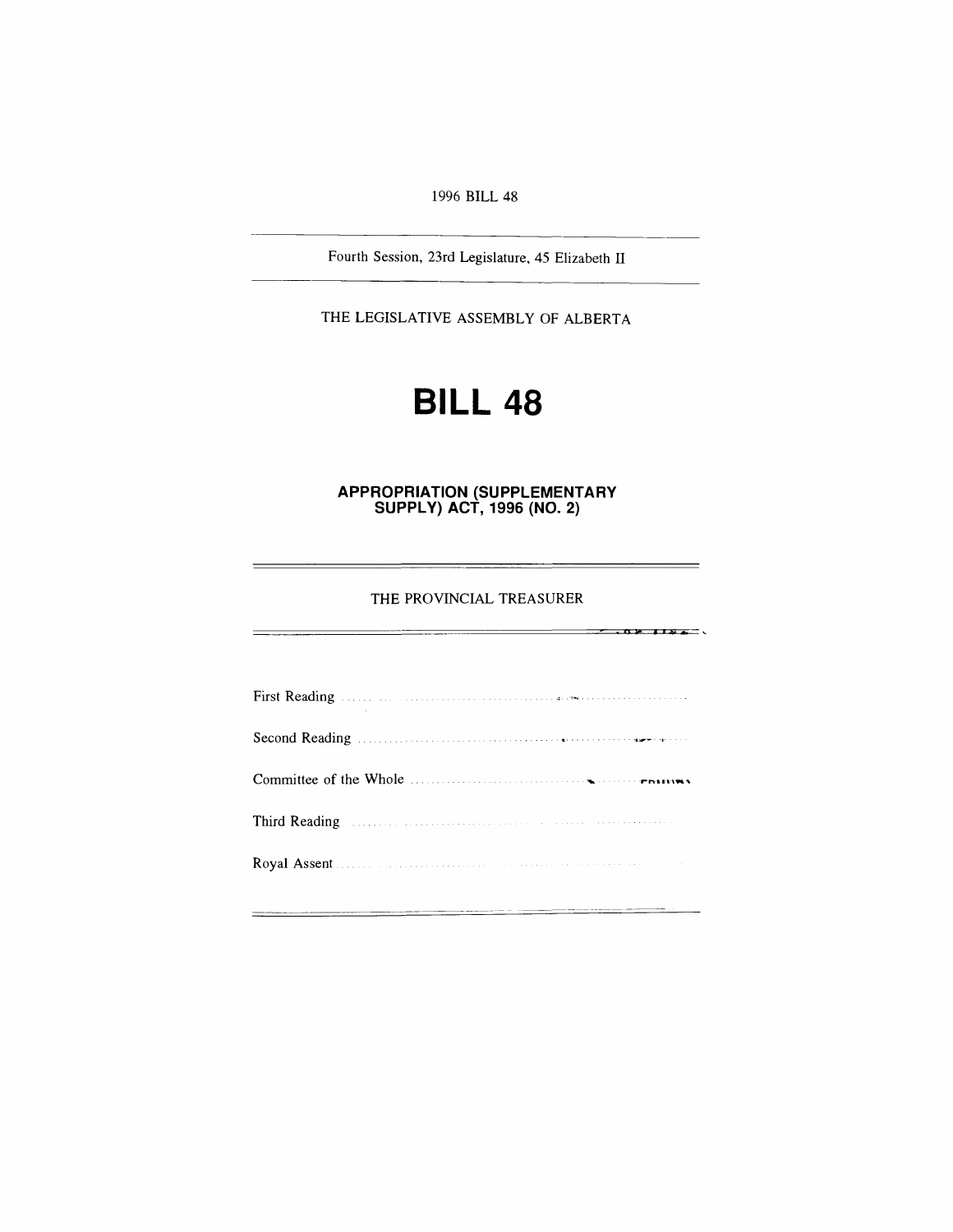*1996 BILL 48*

*Fourth Session, 23rd Legislature, 45 Elizabeth II*

*THE LEGISLATIVE ASSEMBLY OF ALBERTA*

# *BILL 48*

*APPROPRIATION (SUPPLEMENTARY SUPPLY) ACT, 1996 (NO. 2)*

*THE PROVINCIAL TREASURER*

 $-104.184$ 

*First Reading Second Reading Committee of the Whole Third Reading Royal Assent*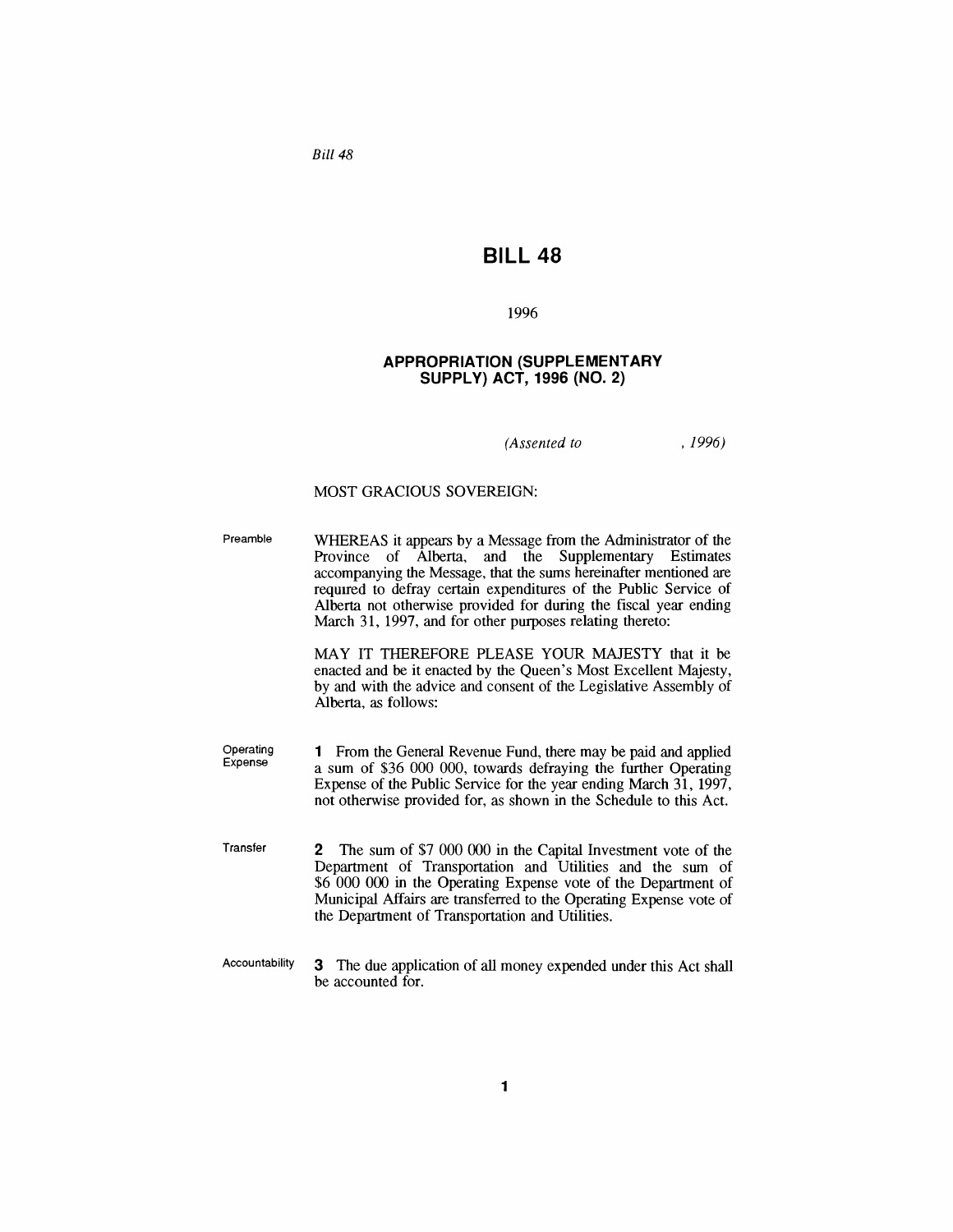*Bill 48*

# *BILL 48*

### *1996*

### *APPROPRIATION (SUPPLEMENTARY SUPPLY) ACT, 1996 (NO. 2)*

*(Assented to , 1996)*

### *MOST GRACIOUS SOVEREIGN:*

*Preamble WHEREAS it appears by a Message from the Administrator of the Province of Alberta, and the Supplementary Estimates accompanying the Message, that the sums hereinafter mentioned are required to defray certain expenditures of the Public Service of Alberta not otherwise provided for during the fiscal year ending March 31, 1997, and for other purposes relating thereto:*

> *MAY IT THEREFORE PLEASE YOUR MAJESTY that it be enacted and be it enacted by the Queen's Most Excellent Majesty, by and with the advice and consent of the Legislative Assembly of Alberta, as follows:*

- *Operating Expense <sup>1</sup> From the General Revenue Fund, there may be paid and applied a sum of \$36 000 000, towards defraying the further Operating Expense of the Public Service for the year ending March 31, 1997, not otherwise provided for, as shown in the Schedule to this Act.*
- *Transfer 2 The sum of \$7 000 000 in the Capital Investment vote of the Department of Transportation and Utilities and the sum of \$6 000 000 in the Operating Expense vote of the Department of Municipal Affairs are transferred to the Operating Expense vote of the Department of Transportation and Utilities.*
- *Accountability 3 The due application of all money expended under this Act shall be accounted for.*